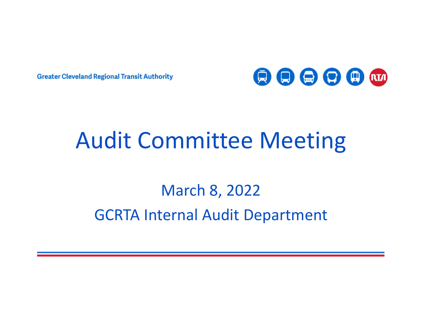**Greater Cleveland Regional Transit Authority** 



# Audit Committee Meeting

### March 8, 2022 GCRTA Internal Audit Department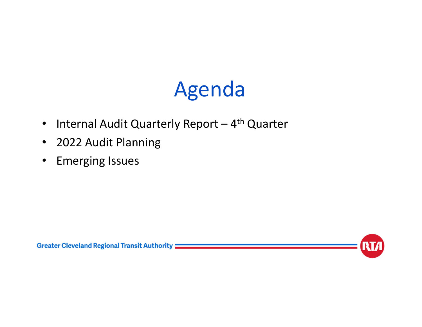# Agenda

- $\bullet$ Internal Audit Quarterly Report  $-4$ <sup>th</sup> Quarter
- $\bullet$ 2022 Audit Planning
- $\bullet$ Emerging Issues



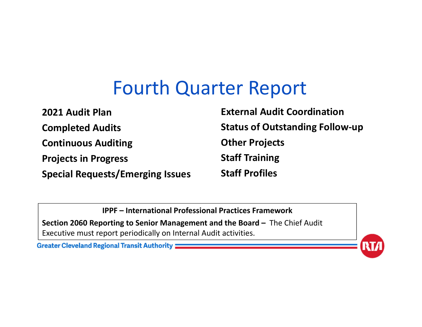### Fourth Quarter Report

**2021 Audit PlanCompleted Audits Continuous Auditing Projects in Progress Special Requests/Emerging Issues External Audit CoordinationStatus of Outstanding Follow‐up Other Projects Staff Training Staff Profiles**

**IPPF – International Professional Practices Framework**

**Section 2060 Reporting to Senior Management and the Board –** The Chief Audit Executive must report periodically on Internal Audit activities.

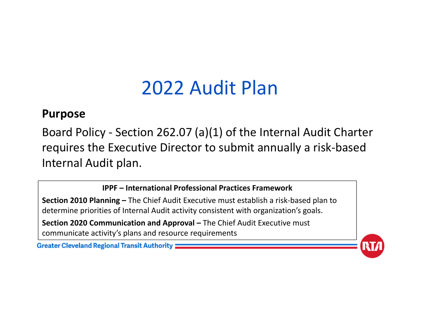#### **Purpose**

Board Policy ‐ Section 262.07 (a)(1) of the Internal Audit Charter requires the Executive Director to submit annually a risk‐based Internal Audit plan.

**IPPF – International Professional Practices Framework**

**Section 2010 Planning –** The Chief Audit Executive must establish a risk‐based plan to determine priorities of Internal Audit activity consistent with organization's goals. **Section 2020 Communication and Approval –** The Chief Audit Executive must communicate activity's plans and resource requirements

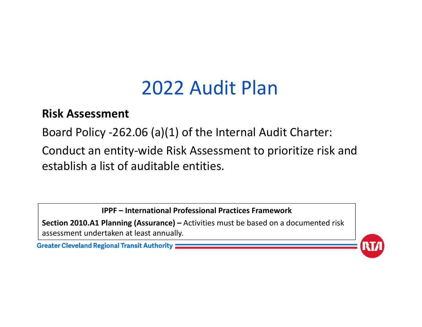#### **Risk Assessment**

Board Policy ‐262.06 (a)(1) of the Internal Audit Charter:

Conduct an entity‐wide Risk Assessment to prioritize risk and establish a list of auditable entities.

**IPPF – International Professional Practices Framework**

**Section 2010.A1 Planning (Assurance) –** Activities must be based on a documented risk assessment undertaken at least annually.

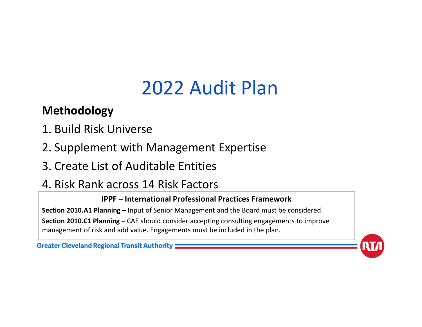#### **Methodology**

- 1. Build Risk Universe
- 2. Supplement with Management Expertise
- 3. Create List of Auditable Entities

### 4. Risk Rank across 14 Risk Factors

#### **IPPF – International Professional Practices Framework**

**Section 2010.A1 Planning –** Input of Senior Management and the Board must be considered. **Section 2010.C1 Planning –** CAE should consider accepting consulting engagements to improve management of risk and add value. Engagements must be included in the plan.

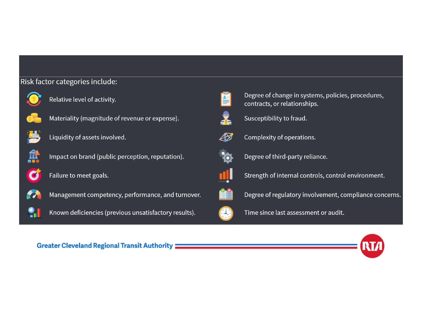#### Risk factor categories include:



Relative level of activity.



Materiality (magnitude of revenue or expense).



Liquidity of assets involved.



 $\bullet$ 

Impact on brand (public perception, reputation).





Management competency, performance, and turnover.





Degree of change in systems, policies, procedures, contracts, or relationships.



Susceptibility to fraud.



Complexity of operations.



Degree of third-party reliance.



Strength of internal controls, control environment.



Degree of regulatory involvement, compliance concerns.



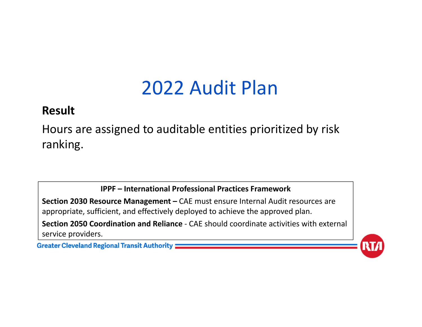#### **Result**

Hours are assigned to auditable entities prioritized by risk ranking.

**IPPF – International Professional Practices Framework**

**Section 2030 Resource Management –** CAE must ensure Internal Audit resources are appropriate, sufficient, and effectively deployed to achieve the approved plan. **Section 2050 Coordination and Reliance** ‐ CAE should coordinate activities with external service providers.